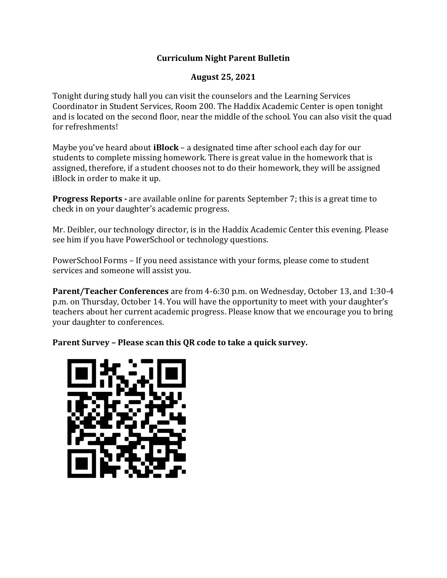## **Curriculum Night Parent Bulletin**

## **August 25, 2021**

Tonight during study hall you can visit the counselors and the Learning Services Coordinator in Student Services, Room 200. The Haddix Academic Center is open tonight and is located on the second floor, near the middle of the school. You can also visit the quad for refreshments!

Maybe you've heard about **iBlock** – a designated time after school each day for our students to complete missing homework. There is great value in the homework that is assigned, therefore, if a student chooses not to do their homework, they will be assigned iBlock in order to make it up.

**Progress Reports -** are available online for parents September 7; this is a great time to check in on your daughter's academic progress.

Mr. Deibler, our technology director, is in the Haddix Academic Center this evening. Please see him if you have PowerSchool or technology questions.

PowerSchool Forms – If you need assistance with your forms, please come to student services and someone will assist you.

**Parent/Teacher Conferences** are from 4-6:30 p.m. on Wednesday, October 13, and 1:30-4 p.m. on Thursday, October 14. You will have the opportunity to meet with your daughter's teachers about her current academic progress. Please know that we encourage you to bring your daughter to conferences.

**Parent Survey – Please scan this QR code to take a quick survey.**